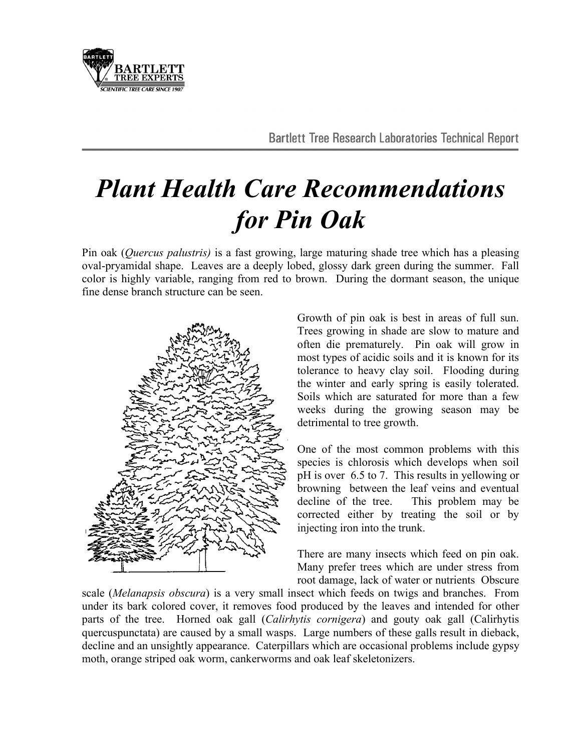

## *Plant Health Care Recommendations for Pin Oak*

Pin oak (*Quercus palustris)* is a fast growing, large maturing shade tree which has a pleasing oval-pryamidal shape. Leaves are a deeply lobed, glossy dark green during the summer. Fall color is highly variable, ranging from red to brown. During the dormant season, the unique fine dense branch structure can be seen.



Growth of pin oak is best in areas of full sun. Trees growing in shade are slow to mature and often die prematurely. Pin oak will grow in most types of acidic soils and it is known for its tolerance to heavy clay soil. Flooding during the winter and early spring is easily tolerated. Soils which are saturated for more than a few weeks during the growing season may be detrimental to tree growth.

One of the most common problems with this species is chlorosis which develops when soil pH is over 6.5 to 7. This results in yellowing or browning between the leaf veins and eventual decline of the tree. This problem may be corrected either by treating the soil or by injecting iron into the trunk.

There are many insects which feed on pin oak. Many prefer trees which are under stress from root damage, lack of water or nutrients Obscure

scale (*Melanapsis obscura*) is a very small insect which feeds on twigs and branches. From under its bark colored cover, it removes food produced by the leaves and intended for other parts of the tree. Horned oak gall (*Calirhytis cornigera*) and gouty oak gall (Calirhytis quercuspunctata) are caused by a small wasps. Large numbers of these galls result in dieback, decline and an unsightly appearance. Caterpillars which are occasional problems include gypsy moth, orange striped oak worm, cankerworms and oak leaf skeletonizers.